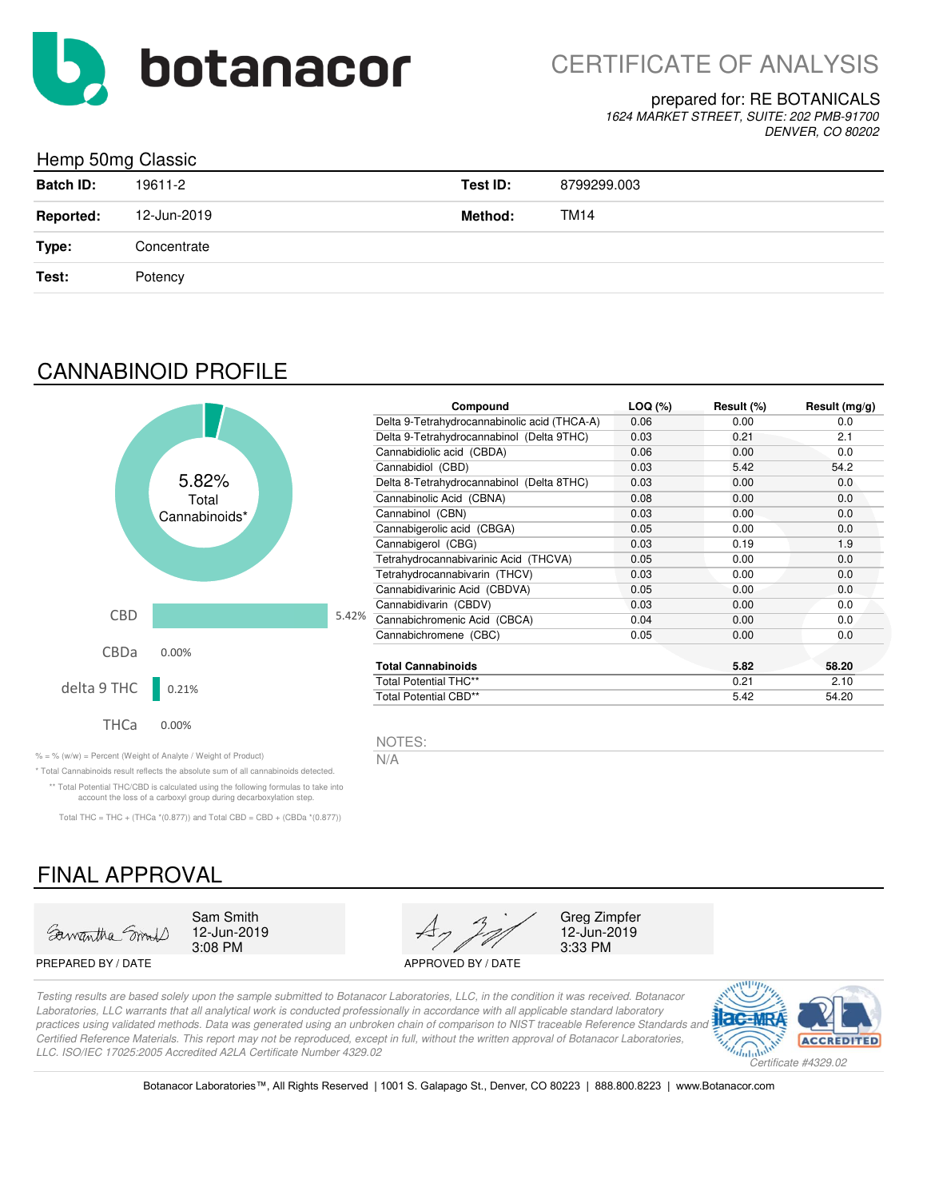

#### prepared for: RE BOTANICALS

*1624 MARKET STREET, SUITE: 202 PMB-91700 DENVER, CO 80202*

## Hemp 50mg Classic

| <b>Batch ID:</b> | 19611-2     | Test ID: | 8799299.003 |
|------------------|-------------|----------|-------------|
| <b>Reported:</b> | 12-Jun-2019 | Method:  | <b>TM14</b> |
| Type:            | Concentrate |          |             |
| Test:            | Potency     |          |             |
|                  |             |          |             |

## CANNABINOID PROFILE



|       | Compound                                     | LOQ (%) | Result (%) | Result $(mg/g)$ |
|-------|----------------------------------------------|---------|------------|-----------------|
|       | Delta 9-Tetrahydrocannabinolic acid (THCA-A) | 0.06    | 0.00       | 0.0             |
|       | Delta 9-Tetrahydrocannabinol (Delta 9THC)    | 0.03    | 0.21       | 2.1             |
|       | Cannabidiolic acid (CBDA)                    | 0.06    | 0.00       | 0.0             |
|       | Cannabidiol (CBD)                            | 0.03    | 5.42       | 54.2            |
|       | Delta 8-Tetrahydrocannabinol (Delta 8THC)    | 0.03    | 0.00       | 0.0             |
|       | Cannabinolic Acid (CBNA)                     | 0.08    | 0.00       | 0.0             |
|       | Cannabinol (CBN)                             | 0.03    | 0.00       | 0.0             |
|       | Cannabigerolic acid (CBGA)                   | 0.05    | 0.00       | 0.0             |
|       | Cannabigerol (CBG)                           | 0.03    | 0.19       | 1.9             |
|       | Tetrahydrocannabivarinic Acid (THCVA)        | 0.05    | 0.00       | 0.0             |
|       | Tetrahydrocannabivarin (THCV)                | 0.03    | 0.00       | 0.0             |
|       | Cannabidivarinic Acid (CBDVA)                | 0.05    | 0.00       | 0.0             |
|       | Cannabidivarin (CBDV)                        | 0.03    | 0.00       | 0.0             |
| 5.42% | Cannabichromenic Acid (CBCA)                 | 0.04    | 0.00       | 0.0             |
|       | Cannabichromene (CBC)                        | 0.05    | 0.00       | 0.0             |
|       | <b>Total Cannabinoids</b>                    |         | 5.82       | 58.20           |
|       | <b>Total Potential THC**</b>                 |         | 0.21       | 2.10            |
|       | <b>Total Potential CBD**</b>                 |         | 5.42       | 54.20           |

12-Jun-2019<br>3:33 PM

NOTES:

*Certified Reference Materials. This report may not be reproduced, except in full, without the written approval of Botanacor Laboratories,* 

% = % (w/w) = Percent (Weight of Analyte / Weight of Product)  $N/A$ 

\* Total Cannabinoids result reflects the absolute sum of all cannabinoids detected. \*\* Total Potential THC/CBD is calculated using the following formulas to take into account the loss of a carboxyl group during decarboxylation step.

Total THC = THC + (THCa  $*(0.877)$ ) and Total CBD = CBD + (CBDa  $*(0.877)$ )

# FINAL APPROVAL



3:08 PM 12-Jun-2019

*LLC. ISO/IEC 17025:2005 Accredited A2LA Certificate Number 4329.02*



*Testing results are based solely upon the sample submitted to Botanacor Laboratories, LLC, in the condition it was received. Botanacor Laboratories, LLC warrants that all analytical work is conducted professionally in accordance with all applicable standard laboratory practices using validated methods. Data was generated using an unbroken chain of comparison to NIST traceable Reference Standards and*  PREPARED BY / DATE APPROVED BY / DATE



Botanacor Laboratories™, All Rights Reserved | 1001 S. Galapago St., Denver, CO 80223 | 888.800.8223 | www.Botanacor.com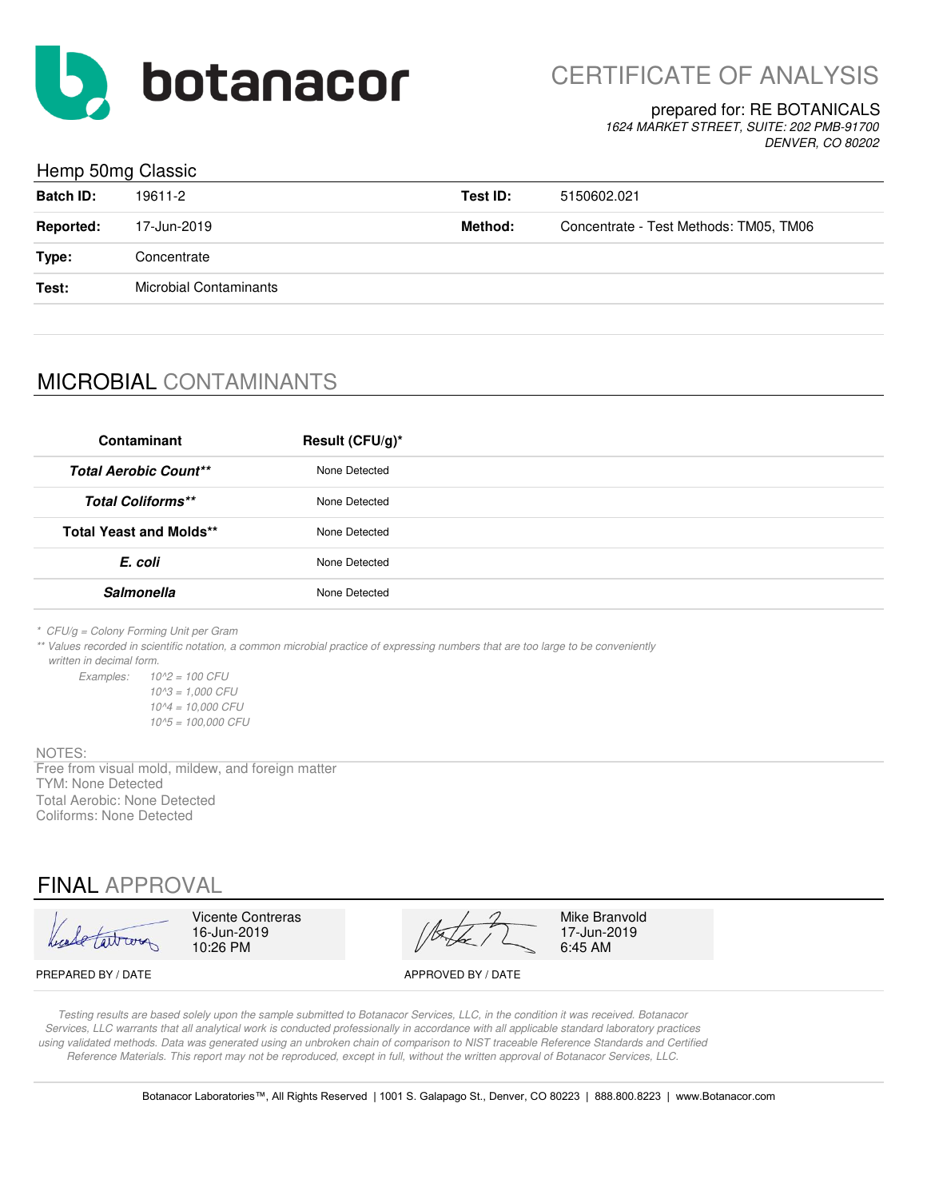

CERTIFICATE OF ANALYSIS

#### prepared for: RE BOTANICALS

*1624 MARKET STREET, SUITE: 202 PMB-91700 DENVER, CO 80202*

### Hemp 50mg Classic

| <b>Batch ID:</b> | 19611-2                       | Test ID: | 5150602.021                            |
|------------------|-------------------------------|----------|----------------------------------------|
| <b>Reported:</b> | 17-Jun-2019                   | Method:  | Concentrate - Test Methods: TM05, TM06 |
| Type:            | Concentrate                   |          |                                        |
| Test:            | <b>Microbial Contaminants</b> |          |                                        |
|                  |                               |          |                                        |

## MICROBIAL CONTAMINANTS

| Contaminant                    | Result (CFU/g)* |
|--------------------------------|-----------------|
| <b>Total Aerobic Count**</b>   | None Detected   |
| <b>Total Coliforms**</b>       | None Detected   |
| <b>Total Yeast and Molds**</b> | None Detected   |
| E. coli                        | None Detected   |
| <b>Salmonella</b>              | None Detected   |

*\* CFU/g = Colony Forming Unit per Gram*

*\*\* Values recorded in scientific notation, a common microbial practice of expressing numbers that are too large to be conveniently written in decimal form.*

*Examples: 10^2 = 100 CFU 10^3 = 1,000 CFU 10^4 = 10,000 CFU 10^5 = 100,000 CFU*

#### NOTES:

TYM: None Detected Total Aerobic: None Detected Coliforms: None Detected Free from visual mold, mildew, and foreign matter

## FINAL APPROVAL

altrona

10:26 PM

Vicente Contreras Mike Branvold<br>16-Jun-2019  $\sqrt{2}$  17-Jun-2019

17-Jun-2019<br>6:45 AM

PREPARED BY / DATE APPROVED BY / DATE

*Testing results are based solely upon the sample submitted to Botanacor Services, LLC, in the condition it was received. Botanacor Services, LLC warrants that all analytical work is conducted professionally in accordance with all applicable standard laboratory practices using validated methods. Data was generated using an unbroken chain of comparison to NIST traceable Reference Standards and Certified Reference Materials. This report may not be reproduced, except in full, without the written approval of Botanacor Services, LLC.*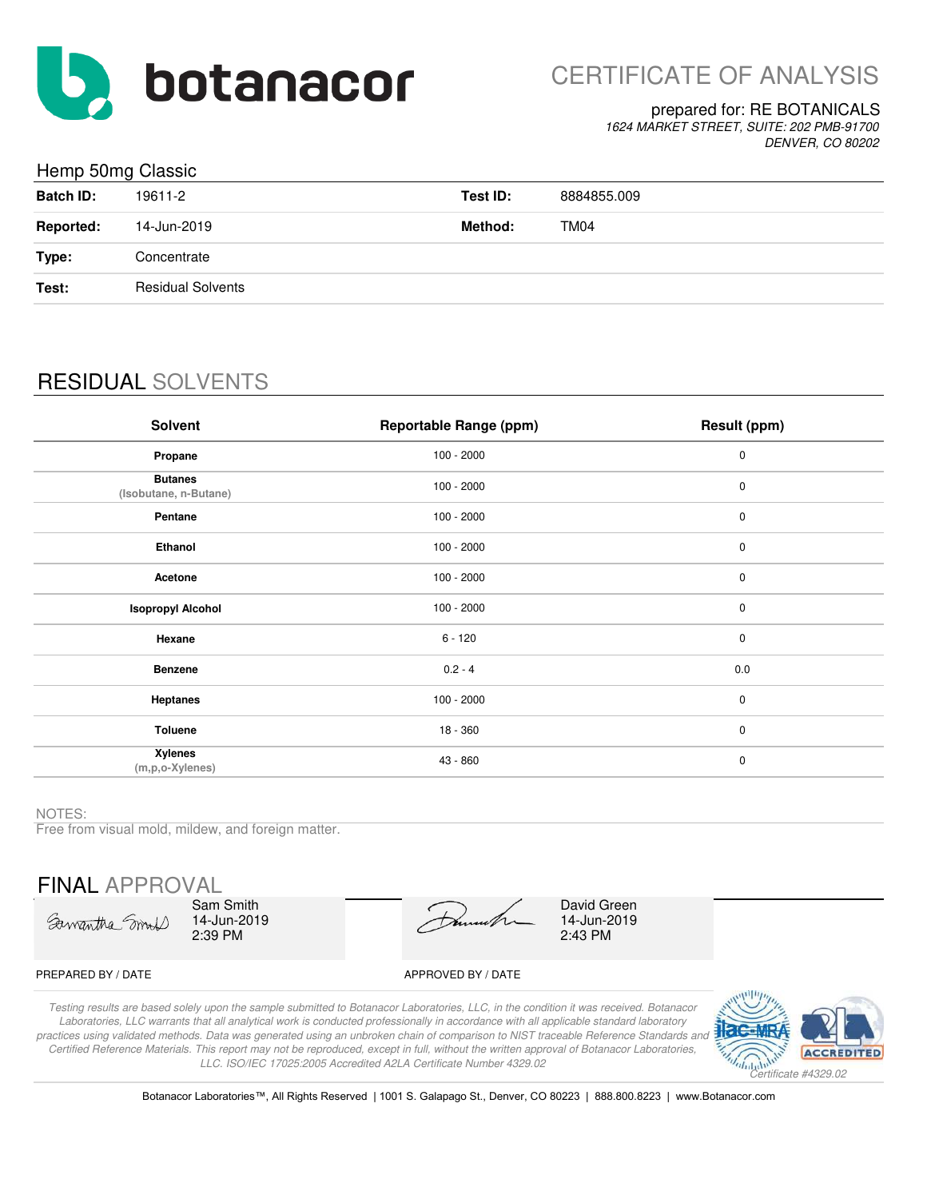

## prepared for: RE BOTANICALS

*1624 MARKET STREET, SUITE: 202 PMB-91700 DENVER, CO 80202*

## Hemp 50mg Classic

|                  | ັ                        |          |             |
|------------------|--------------------------|----------|-------------|
| <b>Batch ID:</b> | 19611-2                  | Test ID: | 8884855.009 |
| <b>Reported:</b> | 14-Jun-2019              | Method:  | TM04        |
| Type:            | Concentrate              |          |             |
| Test:            | <b>Residual Solvents</b> |          |             |
|                  |                          |          |             |

## RESIDUAL SOLVENTS

| Solvent                                 | <b>Reportable Range (ppm)</b> | Result (ppm) |
|-----------------------------------------|-------------------------------|--------------|
| Propane                                 | $100 - 2000$                  | $\pmb{0}$    |
| <b>Butanes</b><br>(Isobutane, n-Butane) | $100 - 2000$                  | $\pmb{0}$    |
| Pentane                                 | $100 - 2000$                  | $\pmb{0}$    |
| Ethanol                                 | $100 - 2000$                  | $\pmb{0}$    |
| Acetone                                 | $100 - 2000$                  | $\pmb{0}$    |
| <b>Isopropyl Alcohol</b>                | $100 - 2000$                  | $\pmb{0}$    |
| Hexane                                  | $6 - 120$                     | $\mathbf 0$  |
| <b>Benzene</b>                          | $0.2 - 4$                     | 0.0          |
| <b>Heptanes</b>                         | $100 - 2000$                  | $\mathbf 0$  |
| <b>Toluene</b>                          | 18 - 360                      | $\mathbf 0$  |
| <b>Xylenes</b><br>$(m, p, o$ -Xylenes)  | 43 - 860                      | $\pmb{0}$    |

#### NOTES:

Free from visual mold, mildew, and foreign matter.

FINAL APPROVAL

Samantha Small

Sam Smith 14-Jun-2019 2:39 PM

14-Jun-2019 2:43 PM David Green

#### PREPARED BY / DATE APPROVED BY / DATE

*Testing results are based solely upon the sample submitted to Botanacor Laboratories, LLC, in the condition it was received. Botanacor Laboratories, LLC warrants that all analytical work is conducted professionally in accordance with all applicable standard laboratory practices using validated methods. Data was generated using an unbroken chain of comparison to NIST traceable Reference Standards and Certified Reference Materials. This report may not be reproduced, except in full, without the written approval of Botanacor Laboratories, LLC. ISO/IEC 17025:2005 Accredited A2LA Certificate Number 4329.02*



Botanacor Laboratories™, All Rights Reserved | 1001 S. Galapago St., Denver, CO 80223 | 888.800.8223 | www.Botanacor.com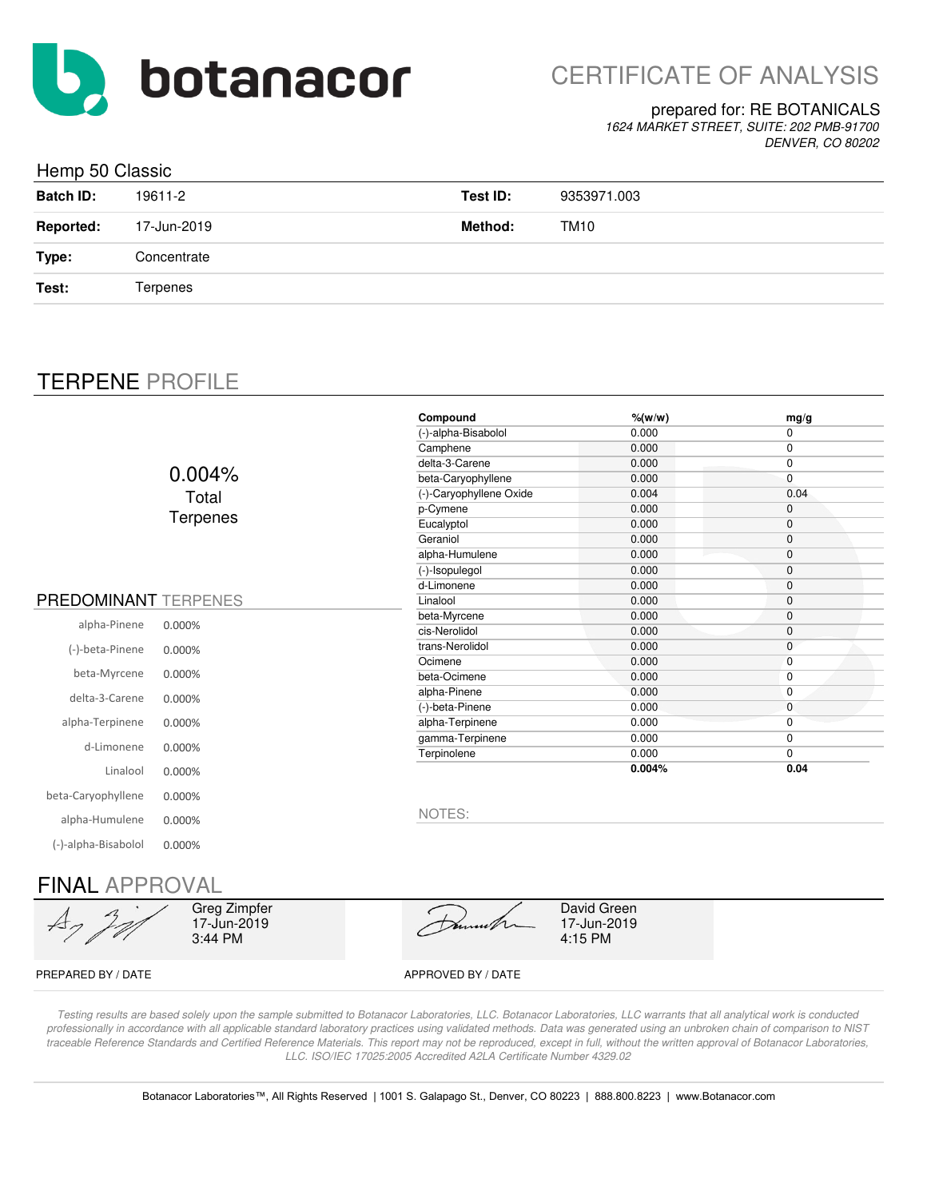

## prepared for: RE BOTANICALS

*1624 MARKET STREET, SUITE: 202 PMB-91700 DENVER, CO 80202*

| Hemp 50 Classic  |             |          |             |  |
|------------------|-------------|----------|-------------|--|
| <b>Batch ID:</b> | 19611-2     | Test ID: | 9353971.003 |  |
| <b>Reported:</b> | 17-Jun-2019 | Method:  | TM10        |  |
| Type:            | Concentrate |          |             |  |
| Test:            | Terpenes    |          |             |  |
|                  |             |          |             |  |

## TERPENE PROFILE

|                             |                 | Compound                | $%$ (w/w) | mg/g         |
|-----------------------------|-----------------|-------------------------|-----------|--------------|
|                             |                 | (-)-alpha-Bisabolol     | 0.000     | 0            |
|                             |                 | Camphene                | 0.000     | 0            |
|                             |                 | delta-3-Carene          | 0.000     | 0            |
|                             | $0.004\%$       | beta-Caryophyllene      | 0.000     | 0            |
|                             | Total           | (-)-Caryophyllene Oxide | 0.004     | 0.04         |
|                             | <b>Terpenes</b> | p-Cymene                | 0.000     | $\mathbf 0$  |
|                             |                 | Eucalyptol              | 0.000     | 0            |
|                             |                 | Geraniol                | 0.000     | 0            |
|                             |                 | alpha-Humulene          | 0.000     | 0            |
|                             |                 | (-)-Isopulegol          | 0.000     | 0            |
|                             |                 | d-Limonene              | 0.000     | 0            |
| <b>PREDOMINANT TERPENES</b> |                 | Linalool                | 0.000     | 0            |
| alpha-Pinene                | 0.000%          | beta-Myrcene            | 0.000     | 0            |
|                             |                 | cis-Nerolidol           | 0.000     | 0            |
| (-)-beta-Pinene             | 0.000%          | trans-Nerolidol         | 0.000     | 0            |
|                             |                 | Ocimene                 | 0.000     | $\mathbf{0}$ |
| beta-Myrcene                | 0.000%          | beta-Ocimene            | 0.000     | 0            |
| delta-3-Carene              | 0.000%          | alpha-Pinene            | 0.000     | 0            |
|                             |                 | (-)-beta-Pinene         | 0.000     | $\mathbf{0}$ |
| alpha-Terpinene             | 0.000%          | alpha-Terpinene         | 0.000     | $\mathbf 0$  |
| d-Limonene                  | 0.000%          | gamma-Terpinene         | 0.000     | 0            |
|                             |                 | Terpinolene             | 0.000     | 0            |
| Linalool                    | 0.000%          |                         | 0.004%    | 0.04         |
| beta-Caryophyllene          | 0.000%          |                         |           |              |
| alpha-Humulene              | 0.000%          | NOTES:                  |           |              |
| (-)-alpha-Bisabolol         | 0.000%          |                         |           |              |
|                             |                 |                         |           |              |

## FINAL APPROVAL

 $\overline{\mathcal{A}}$ 

Greg Zimpfer 17-Jun-2019 3:44 PM

David Green 17-Jun-2019 4:15 PM

PREPARED BY / DATE APPROVED BY / DATE

*Testing results are based solely upon the sample submitted to Botanacor Laboratories, LLC. Botanacor Laboratories, LLC warrants that all analytical work is conducted professionally in accordance with all applicable standard laboratory practices using validated methods. Data was generated using an unbroken chain of comparison to NIST*  traceable Reference Standards and Certified Reference Materials. This report may not be reproduced, except in full, without the written approval of Botanacor Laboratories, *LLC. ISO/IEC 17025:2005 Accredited A2LA Certificate Number 4329.02*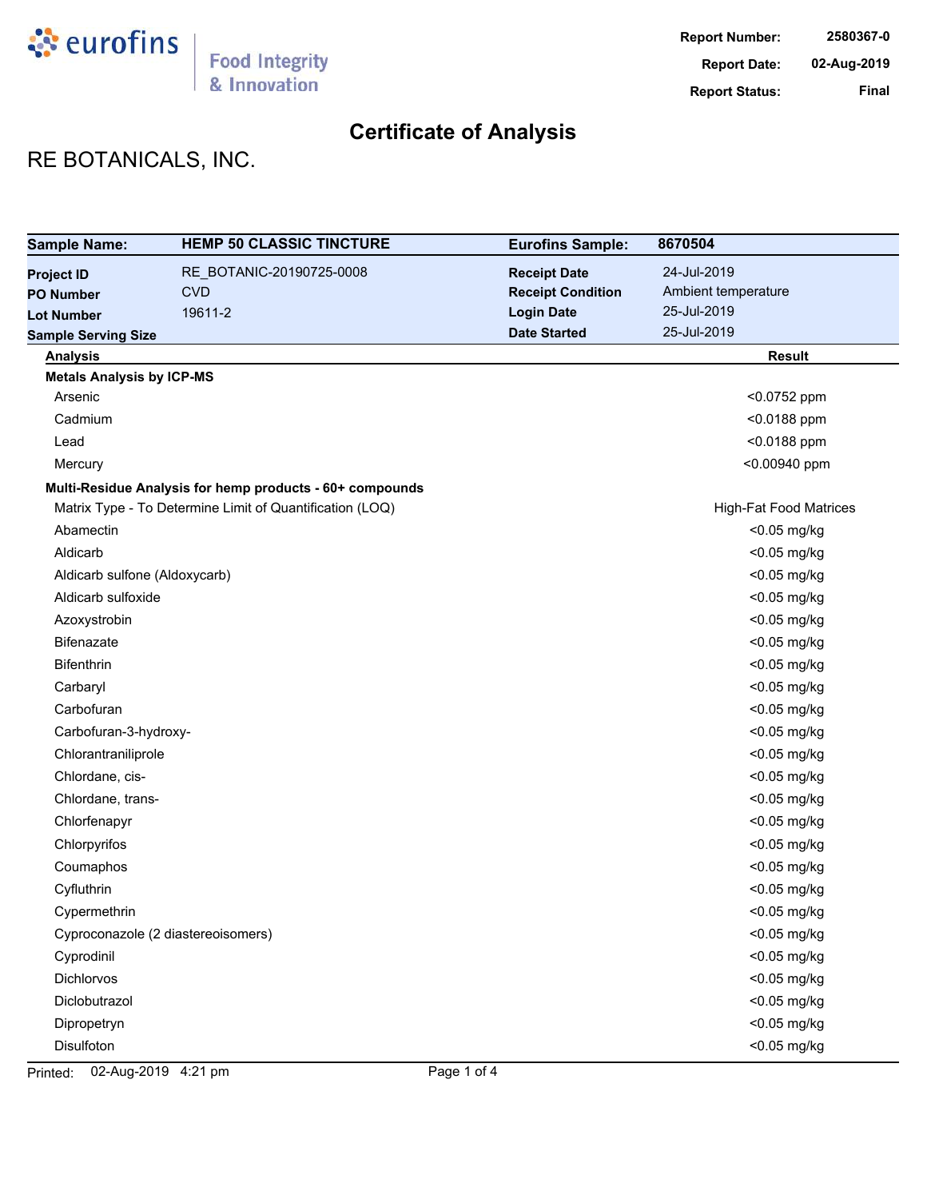

# RE BOTANICALS, INC.

| <b>Sample Name:</b>              | <b>HEMP 50 CLASSIC TINCTURE</b>                          | <b>Eurofins Sample:</b>  | 8670504                       |
|----------------------------------|----------------------------------------------------------|--------------------------|-------------------------------|
| <b>Project ID</b>                | RE_BOTANIC-20190725-0008                                 | <b>Receipt Date</b>      | 24-Jul-2019                   |
| <b>PO Number</b>                 | <b>CVD</b>                                               | <b>Receipt Condition</b> | Ambient temperature           |
| <b>Lot Number</b>                | 19611-2                                                  | <b>Login Date</b>        | 25-Jul-2019                   |
| <b>Sample Serving Size</b>       |                                                          | <b>Date Started</b>      | 25-Jul-2019                   |
| <b>Analysis</b>                  |                                                          |                          | <b>Result</b>                 |
| <b>Metals Analysis by ICP-MS</b> |                                                          |                          |                               |
| Arsenic                          |                                                          |                          | <0.0752 ppm                   |
| Cadmium                          |                                                          |                          | <0.0188 ppm                   |
| Lead                             |                                                          |                          | <0.0188 ppm                   |
| Mercury                          |                                                          |                          | <0.00940 ppm                  |
|                                  | Multi-Residue Analysis for hemp products - 60+ compounds |                          |                               |
|                                  | Matrix Type - To Determine Limit of Quantification (LOQ) |                          | <b>High-Fat Food Matrices</b> |
| Abamectin                        |                                                          |                          | <0.05 mg/kg                   |
| Aldicarb                         |                                                          |                          | <0.05 mg/kg                   |
| Aldicarb sulfone (Aldoxycarb)    |                                                          |                          | <0.05 mg/kg                   |
| Aldicarb sulfoxide               |                                                          |                          | <0.05 mg/kg                   |
| Azoxystrobin                     |                                                          |                          | <0.05 mg/kg                   |
| <b>Bifenazate</b>                |                                                          |                          | <0.05 mg/kg                   |
| <b>Bifenthrin</b>                |                                                          |                          | <0.05 mg/kg                   |
| Carbaryl                         |                                                          |                          | <0.05 mg/kg                   |
| Carbofuran                       |                                                          |                          | <0.05 mg/kg                   |
| Carbofuran-3-hydroxy-            |                                                          |                          | <0.05 mg/kg                   |
| Chlorantraniliprole              |                                                          |                          | <0.05 mg/kg                   |
| Chlordane, cis-                  |                                                          |                          | <0.05 mg/kg                   |
| Chlordane, trans-                |                                                          |                          | <0.05 mg/kg                   |
| Chlorfenapyr                     |                                                          |                          | <0.05 mg/kg                   |
| Chlorpyrifos                     |                                                          |                          | <0.05 mg/kg                   |
| Coumaphos                        |                                                          |                          | <0.05 mg/kg                   |
| Cyfluthrin                       |                                                          |                          | <0.05 mg/kg                   |
| Cypermethrin                     |                                                          |                          | <0.05 mg/kg                   |
|                                  | Cyproconazole (2 diastereoisomers)                       |                          | <0.05 mg/kg                   |
| Cyprodinil                       |                                                          |                          | <0.05 mg/kg                   |
| Dichlorvos                       |                                                          |                          | <0.05 mg/kg                   |
| Diclobutrazol                    |                                                          |                          | <0.05 mg/kg                   |
| Dipropetryn                      |                                                          |                          | <0.05 mg/kg                   |
| Disulfoton                       |                                                          |                          | <0.05 mg/kg                   |

Printed: 02-Aug-2019 4:21 pm Page 1 of 4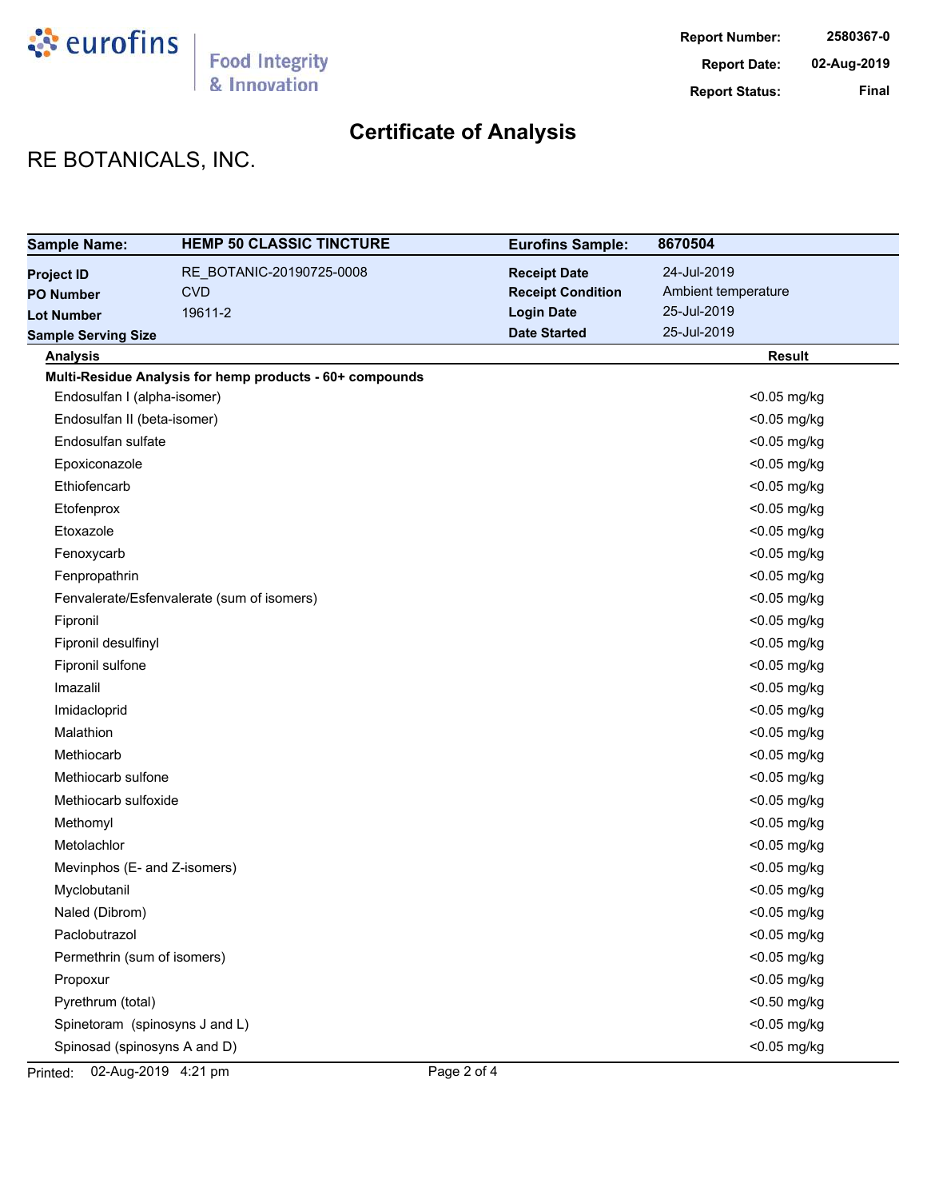

# RE BOTANICALS, INC.

| <b>Sample Name:</b>            | <b>HEMP 50 CLASSIC TINCTURE</b>                          | <b>Eurofins Sample:</b>  | 8670504             |
|--------------------------------|----------------------------------------------------------|--------------------------|---------------------|
| <b>Project ID</b>              | RE_BOTANIC-20190725-0008                                 | <b>Receipt Date</b>      | 24-Jul-2019         |
| <b>PO Number</b>               | <b>CVD</b>                                               | <b>Receipt Condition</b> | Ambient temperature |
| <b>Lot Number</b>              | 19611-2                                                  | <b>Login Date</b>        | 25-Jul-2019         |
| <b>Sample Serving Size</b>     |                                                          | <b>Date Started</b>      | 25-Jul-2019         |
| <b>Analysis</b>                |                                                          |                          | <b>Result</b>       |
|                                | Multi-Residue Analysis for hemp products - 60+ compounds |                          |                     |
| Endosulfan I (alpha-isomer)    |                                                          |                          | <0.05 mg/kg         |
| Endosulfan II (beta-isomer)    |                                                          |                          | <0.05 mg/kg         |
| Endosulfan sulfate             |                                                          |                          | <0.05 mg/kg         |
| Epoxiconazole                  |                                                          |                          | <0.05 mg/kg         |
| Ethiofencarb                   |                                                          |                          | <0.05 mg/kg         |
| Etofenprox                     |                                                          |                          | <0.05 mg/kg         |
| Etoxazole                      |                                                          |                          | <0.05 mg/kg         |
| Fenoxycarb                     |                                                          |                          | <0.05 mg/kg         |
| Fenpropathrin                  |                                                          |                          | <0.05 mg/kg         |
|                                | Fenvalerate/Esfenvalerate (sum of isomers)               |                          | <0.05 mg/kg         |
| Fipronil                       |                                                          |                          | <0.05 mg/kg         |
| Fipronil desulfinyl            |                                                          |                          | <0.05 mg/kg         |
| Fipronil sulfone               |                                                          |                          | <0.05 mg/kg         |
| Imazalil                       |                                                          |                          | <0.05 mg/kg         |
| Imidacloprid                   |                                                          |                          | <0.05 mg/kg         |
| Malathion                      |                                                          |                          | <0.05 mg/kg         |
| Methiocarb                     |                                                          |                          | <0.05 mg/kg         |
| Methiocarb sulfone             |                                                          |                          | <0.05 mg/kg         |
| Methiocarb sulfoxide           |                                                          |                          | <0.05 mg/kg         |
| Methomyl                       |                                                          |                          | <0.05 mg/kg         |
| Metolachlor                    |                                                          |                          | <0.05 mg/kg         |
| Mevinphos (E- and Z-isomers)   |                                                          |                          | <0.05 mg/kg         |
| Myclobutanil                   |                                                          |                          | <0.05 mg/kg         |
| Naled (Dibrom)                 |                                                          |                          | <0.05 mg/kg         |
| Paclobutrazol                  |                                                          |                          | <0.05 mg/kg         |
| Permethrin (sum of isomers)    |                                                          |                          | <0.05 mg/kg         |
| Propoxur                       |                                                          |                          | <0.05 mg/kg         |
| Pyrethrum (total)              |                                                          |                          | <0.50 mg/kg         |
| Spinetoram (spinosyns J and L) |                                                          |                          | <0.05 mg/kg         |
| Spinosad (spinosyns A and D)   |                                                          |                          | <0.05 mg/kg         |

Printed: 02-Aug-2019 4:21 pm Page 2 of 4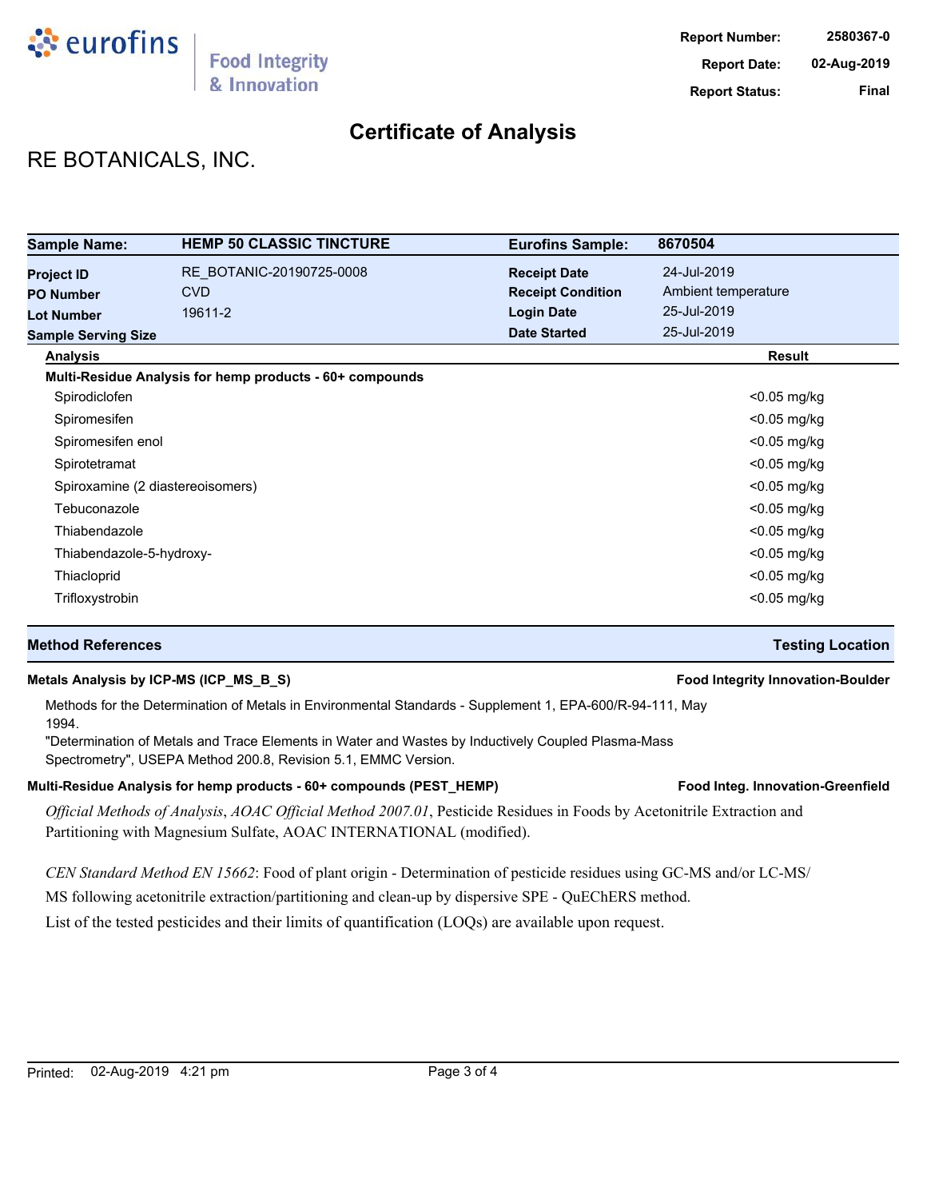

## RE BOTANICALS, INC.

| <b>Sample Name:</b>              | <b>HEMP 50 CLASSIC TINCTURE</b>                          | <b>Eurofins Sample:</b>  | 8670504             |
|----------------------------------|----------------------------------------------------------|--------------------------|---------------------|
| <b>Project ID</b>                | RE BOTANIC-20190725-0008                                 | <b>Receipt Date</b>      | 24-Jul-2019         |
| <b>PO Number</b>                 | <b>CVD</b>                                               | <b>Receipt Condition</b> | Ambient temperature |
| <b>Lot Number</b>                | 19611-2                                                  | <b>Login Date</b>        | 25-Jul-2019         |
| <b>Sample Serving Size</b>       |                                                          | <b>Date Started</b>      | 25-Jul-2019         |
| <b>Analysis</b>                  |                                                          |                          | Result              |
|                                  | Multi-Residue Analysis for hemp products - 60+ compounds |                          |                     |
| Spirodiclofen                    |                                                          |                          | $<$ 0.05 mg/kg      |
| Spiromesifen                     |                                                          |                          | $<$ 0.05 mg/kg      |
| Spiromesifen enol                |                                                          |                          | $<$ 0.05 mg/kg      |
| Spirotetramat                    |                                                          |                          | $<$ 0.05 mg/kg      |
| Spiroxamine (2 diastereoisomers) |                                                          |                          | $<$ 0.05 mg/kg      |
| Tebuconazole                     |                                                          |                          | $<$ 0.05 mg/kg      |
| Thiabendazole                    |                                                          |                          | $<$ 0.05 mg/kg      |
| Thiabendazole-5-hydroxy-         |                                                          |                          | $<$ 0.05 mg/kg      |
| Thiacloprid                      |                                                          |                          | $<$ 0.05 mg/kg      |
| Trifloxystrobin                  |                                                          |                          | $<$ 0.05 mg/kg      |

## **Method References Testing Location**

## **Metals Analysis by ICP-MS (ICP\_MS\_B\_S) Food Integrity Innovation-Boulder**

Methods for the Determination of Metals in Environmental Standards - Supplement 1, EPA-600/R-94-111, May 1994.

"Determination of Metals and Trace Elements in Water and Wastes by Inductively Coupled Plasma-Mass Spectrometry", USEPA Method 200.8, Revision 5.1, EMMC Version.

#### Multi-Residue Analysis for hemp products - 60+ compounds (PEST\_HEMP) **Food Integ. Innovation-Greenfield**

*Official Methods of Analysis*, *AOAC Official Method 2007.01*, Pesticide Residues in Foods by Acetonitrile Extraction and Partitioning with Magnesium Sulfate, AOAC INTERNATIONAL (modified).

*CEN Standard Method EN 15662*: Food of plant origin - Determination of pesticide residues using GC-MS and/or LC-MS/

MS following acetonitrile extraction/partitioning and clean-up by dispersive SPE - QuEChERS method.

List of the tested pesticides and their limits of quantification (LOQs) are available upon request.